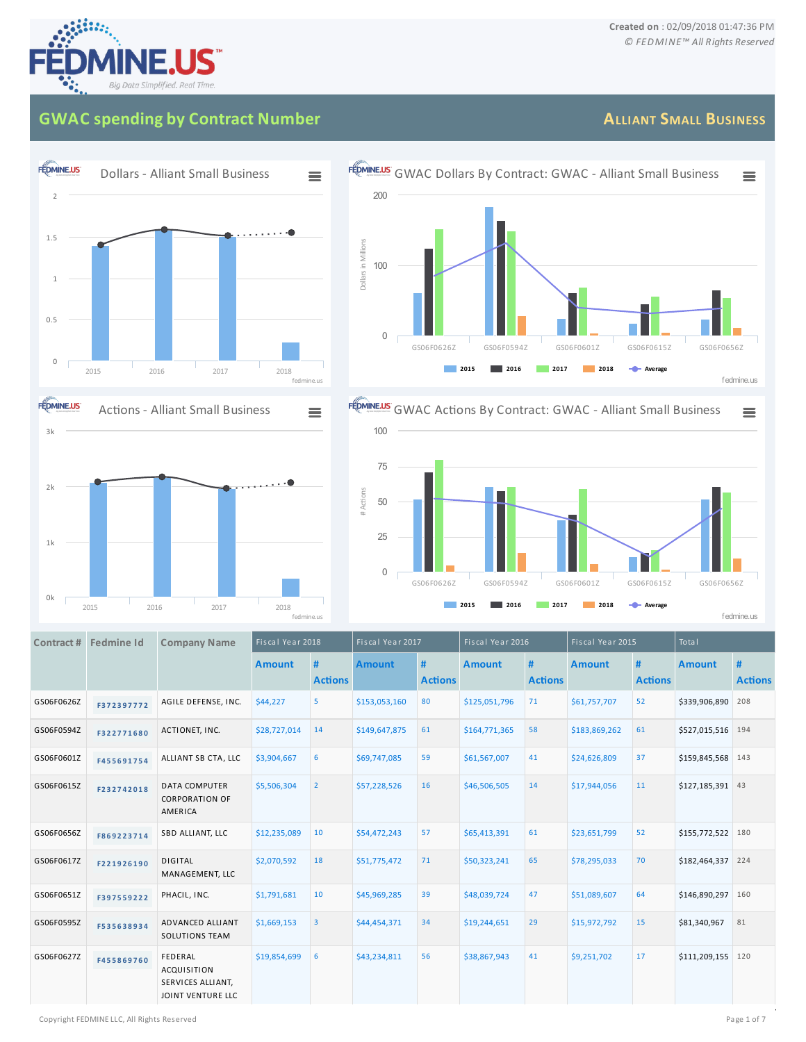## **GWAC spending by Contract Number**

## **FEDMINE.US** Dollars - Alliant Small Business  $\equiv$ 2 1.5 1 0.5 0 2015 2016 2017 2018 fedmine.us



## **FÉDMINE.US** GWAC Dollars By Contract: GWAC - Alliant Small Business  $\equiv$ 200 Dollars in Millions DollarsinMillions 100 0 GS06F0626Z GS06F0594Z GS06F0601Z GS06F0615Z GS06F0656Z **2015 2016 2017 2018 Average** fedmine.us



|            | Contract # Fedmine Id | <b>Company Name</b>                                                     | Fiscal Year 2018 |                         | Fiscal Year 2017 |                     | Fiscal Year 2016 |                     | Fiscal Year 2015 |                     | <b>Total</b>      |                     |
|------------|-----------------------|-------------------------------------------------------------------------|------------------|-------------------------|------------------|---------------------|------------------|---------------------|------------------|---------------------|-------------------|---------------------|
|            |                       |                                                                         | <b>Amount</b>    | #<br><b>Actions</b>     | <b>Amount</b>    | #<br><b>Actions</b> | <b>Amount</b>    | #<br><b>Actions</b> | <b>Amount</b>    | #<br><b>Actions</b> | <b>Amount</b>     | #<br><b>Actions</b> |
| GS06F0626Z | F372397772            | AGILE DEFENSE, INC.                                                     | \$44,227         | 5                       | \$153,053,160    | 80                  | \$125,051,796    | 71                  | \$61,757,707     | 52                  | \$339,906,890     | 208                 |
| GS06F0594Z | F322771680            | ACTIONET, INC.                                                          | \$28,727,014     | 14                      | \$149,647,875    | 61                  | \$164,771,365    | 58                  | \$183,869,262    | 61                  | \$527,015,516     | 194                 |
| GS06F0601Z | F455691754            | ALLIANT SB CTA, LLC                                                     | \$3,904,667      | 6                       | \$69,747,085     | 59                  | \$61,567,007     | 41                  | \$24,626,809     | 37                  | \$159,845,568 143 |                     |
| GS06F0615Z | F232742018            | <b>DATA COMPUTER</b><br><b>CORPORATION OF</b><br>AMERICA                | \$5,506,304      | $\overline{2}$          | \$57,228,526     | 16                  | \$46,506,505     | 14                  | \$17,944,056     | 11                  | \$127,185,391 43  |                     |
| GS06F0656Z | F869223714            | SBD ALLIANT, LLC                                                        | \$12,235,089     | 10                      | \$54,472,243     | 57                  | \$65,413,391     | 61                  | \$23,651,799     | 52                  | \$155,772,522     | 180                 |
| GS06F0617Z | F221926190            | <b>DIGITAL</b><br>MANAGEMENT, LLC                                       | \$2,070,592      | 18                      | \$51,775,472     | 71                  | \$50,323,241     | 65                  | \$78,295,033     | 70                  | \$182,464,337     | 224                 |
| GS06F0651Z | F397559222            | PHACIL, INC.                                                            | \$1,791,681      | 10                      | \$45,969,285     | 39                  | \$48,039,724     | 47                  | \$51,089,607     | 64                  | \$146,890,297     | 160                 |
| GS06F0595Z | F535638934            | ADVANCED ALLIANT<br><b>SOLUTIONS TEAM</b>                               | \$1,669,153      | $\overline{\mathbf{3}}$ | \$44,454,371     | 34                  | \$19,244,651     | 29                  | \$15,972,792     | 15                  | \$81,340,967      | 81                  |
| GS06F0627Z | F455869760            | FEDERAL<br><b>ACQUISITION</b><br>SERVICES ALLIANT,<br>JOINT VENTURE LLC | \$19,854,699     | 6                       | \$43,234,811     | 56                  | \$38,867,943     | 41                  | \$9,251,702      | 17                  | \$111,209,155     | 120                 |

## **ALLIANT SMALL BUSINESS**